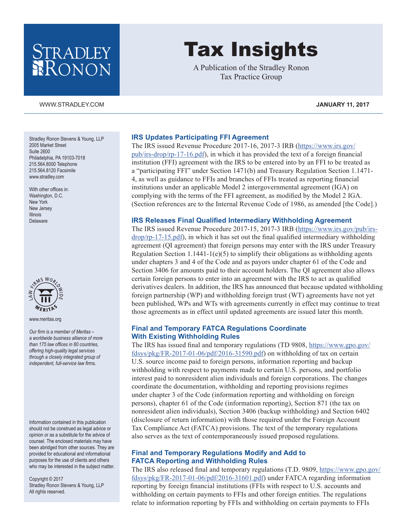## STRADLEY RONON

Stradley Ronon Stevens & Young, LLP 2005 Market Street Suite 2600 Philadelphia, PA 19103-7018 215.564.8000 Telephone 215.564.8120 Facsimile [www.stradley.com](http://www.stradley.com)

With other offices in: Washington, D.C. New York New Jersey Illinois Delaware



[www.meritas.org](http://www.meritas.org)

*Our firm is a member of Meritas – a worldwide business alliance of more than 175 law offices in 80 countries, offering high-quality legal services through a closely integrated group of independent, full-service law firms.*

Information contained in this publication should not be construed as legal advice or opinion or as a substitute for the advice of counsel. The enclosed materials may have been abridged from other sources. They are provided for educational and informational purposes for the use of clients and others who may be interested in the subject matter.

Copyright © 2017 Stradley Ronon Stevens & Young, LLP All rights reserved.

# Tax Insights

A Publication of the Stradley Ronon Tax Practice Group

**IRS Updates Participating FFI Agreement** The IRS issued Revenue Procedure 2017-16, 2017-3 IRB [\(https://www.irs.gov/](https://www.irs.gov/pub/irs-drop/rp-17-16.pdf) [pub/irs-drop/rp-17-16.pdf](https://www.irs.gov/pub/irs-drop/rp-17-16.pdf)), in which it has provided the text of a foreign financial institution (FFI) agreement with the IRS to be entered into by an FFI to be treated as a "participating FFI" under Section 1471(b) and Treasury Regulation Section 1.1471- 4, as well as guidance to FFIs and branches of FFIs treated as reporting financial institutions under an applicable Model 2 intergovernmental agreement (IGA) on complying with the terms of the FFI agreement, as modified by the Model 2 IGA. (Section references are to the Internal Revenue Code of 1986, as amended [the Code].)

#### **IRS Releases Final Qualified Intermediary Withholding Agreement**

The IRS issued Revenue Procedure 2017-15, 2017-3 IRB [\(https://www.irs.gov/pub/irs](https://www.irs.gov/pub/irs-drop/rp-17-15.pdf)[drop/rp-17-15.pdf](https://www.irs.gov/pub/irs-drop/rp-17-15.pdf)), in which it has set out the final qualified intermediary withholding agreement (QI agreement) that foreign persons may enter with the IRS under Treasury Regulation Section 1.1441-1(e)(5) to simplify their obligations as withholding agents under chapters 3 and 4 of the Code and as payors under chapter 61 of the Code and Section 3406 for amounts paid to their account holders. The QI agreement also allows certain foreign persons to enter into an agreement with the IRS to act as qualified derivatives dealers. In addition, the IRS has announced that because updated withholding foreign partnership (WP) and withholding foreign trust (WT) agreements have not yet been published, WPs and WTs with agreements currently in effect may continue to treat those agreements as in effect until updated agreements are issued later this month.

#### **Final and Temporary FATCA Regulations Coordinate With Existing Withholding Rules**

The IRS has issued final and temporary regulations (TD 9808, [https://www.gpo.gov/](https://www.gpo.gov/fdsys/pkg/FR-2017-01-06/pdf/2016-31590.pdf) [fdsys/pkg/FR-2017-01-06/pdf/2016-31590.pdf](https://www.gpo.gov/fdsys/pkg/FR-2017-01-06/pdf/2016-31590.pdf)) on withholding of tax on certain U.S. source income paid to foreign persons, information reporting and backup withholding with respect to payments made to certain U.S. persons, and portfolio interest paid to nonresident alien individuals and foreign corporations. The changes coordinate the documentation, withholding and reporting provisions regimes under chapter 3 of the Code (information reporting and withholding on foreign persons), chapter 61 of the Code (information reporting), Section 871 (the tax on nonresident alien individuals), Section 3406 (backup withholding) and Section 6402 (disclosure of return information) with those required under the Foreign Account Tax Compliance Act (FATCA) provisions. The text of the temporary regulations also serves as the text of contemporaneously issued proposed regulations.

#### **Final and Temporary Regulations Modify and Add to FATCA Reporting and Withholding Rules**

The IRS also released final and temporary regulations (T.D. 9809, [https://www.gpo.gov/](https://www.gpo.gov/fdsys/pkg/FR-2017-01-06/pdf/2016-31601.pdf) [fdsys/pkg/FR-2017-01-06/pdf/2016-31601.pdf](https://www.gpo.gov/fdsys/pkg/FR-2017-01-06/pdf/2016-31601.pdf)) under FATCA regarding information reporting by foreign financial institutions (FFIs with respect to U.S. accounts and withholding on certain payments to FFIs and other foreign entities. The regulations relate to information reporting by FFIs and withholding on certain payments to FFIs

[WWW.STRADLEY.COM](www.stradley.com) **JANUARY 11, 2017**